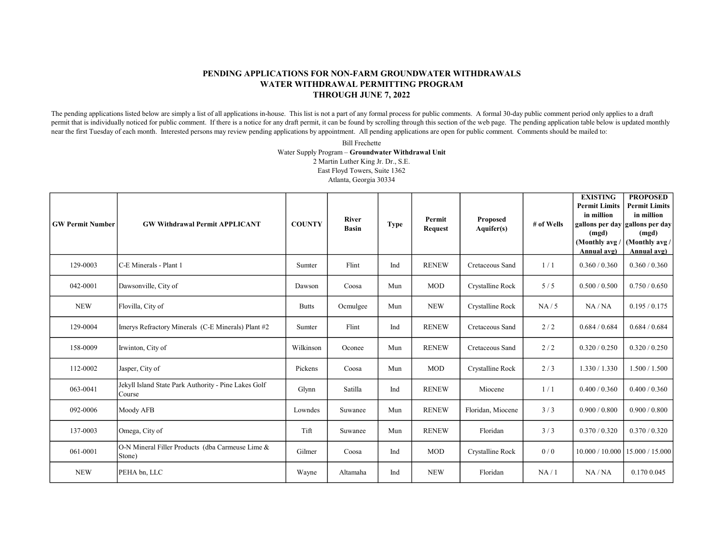## PENDING APPLICATIONS FOR NON-FARM GROUNDWATER WITHDRAWALS WATER WITHDRAWAL PERMITTING PROGRAM THROUGH JUNE 7, 2022

The pending applications listed below are simply a list of all applications in-house. This list is not a part of any formal process for public comments. A formal 30-day public comment period only applies to a draft permit that is individually noticed for public comment. If there is a notice for any draft permit, it can be found by scrolling through this section of the web page. The pending application table below is updated monthly near the first Tuesday of each month. Interested persons may review pending applications by appointment. All pending applications are open for public comment. Comments should be mailed to:

> Bill Frechette Water Supply Program – Groundwater Withdrawal Unit 2 Martin Luther King Jr. Dr., S.E. East Floyd Towers, Suite 1362 Atlanta, Georgia 30334

| <b>GW Permit Number</b> | <b>GW Withdrawal Permit APPLICANT</b>                          | <b>COUNTY</b> | <b>River</b><br>Basin | <b>Type</b> | Permit<br><b>Request</b> | <b>Proposed</b><br>Aquifer(s) | # of Wells | <b>EXISTING</b><br><b>Permit Limits</b><br>in million<br>(mgd)<br>(Monthly avg<br>Annual avg) | <b>PROPOSED</b><br><b>Permit Limits</b><br>in million<br>gallons per day gallons per day<br>(mgd)<br>(Monthly avg /<br>Annual avg) |
|-------------------------|----------------------------------------------------------------|---------------|-----------------------|-------------|--------------------------|-------------------------------|------------|-----------------------------------------------------------------------------------------------|------------------------------------------------------------------------------------------------------------------------------------|
| 129-0003                | C-E Minerals - Plant 1                                         | Sumter        | Flint                 | Ind         | <b>RENEW</b>             | Cretaceous Sand               | 1/1        | 0.360 / 0.360                                                                                 | 0.360 / 0.360                                                                                                                      |
| 042-0001                | Dawsonville, City of                                           | Dawson        | Coosa                 | Mun         | <b>MOD</b>               | Crystalline Rock              | 5/5        | 0.500 / 0.500                                                                                 | 0.750 / 0.650                                                                                                                      |
| <b>NEW</b>              | Flovilla, City of                                              | <b>Butts</b>  | Ocmulgee              | Mun         | <b>NEW</b>               | Crystalline Rock              | NA/5       | NA/NA                                                                                         | 0.195 / 0.175                                                                                                                      |
| 129-0004                | Imerys Refractory Minerals (C-E Minerals) Plant #2             | Sumter        | Flint                 | Ind         | <b>RENEW</b>             | Cretaceous Sand               | 2/2        | 0.684 / 0.684                                                                                 | 0.684 / 0.684                                                                                                                      |
| 158-0009                | Irwinton, City of                                              | Wilkinson     | Oconee                | Mun         | <b>RENEW</b>             | Cretaceous Sand               | 2/2        | 0.320 / 0.250                                                                                 | 0.320 / 0.250                                                                                                                      |
| 112-0002                | Jasper, City of                                                | Pickens       | Coosa                 | Mun         | <b>MOD</b>               | Crystalline Rock              | 2/3        | 1.330 / 1.330                                                                                 | 1.500 / 1.500                                                                                                                      |
| 063-0041                | Jekyll Island State Park Authority - Pine Lakes Golf<br>Course | Glynn         | Satilla               | Ind         | <b>RENEW</b>             | Miocene                       | 1/1        | 0.400 / 0.360                                                                                 | 0.400 / 0.360                                                                                                                      |
| 092-0006                | Moody AFB                                                      | Lowndes       | Suwanee               | Mun         | <b>RENEW</b>             | Floridan, Miocene             | 3/3        | 0.900 / 0.800                                                                                 | 0.900 / 0.800                                                                                                                      |
| 137-0003                | Omega, City of                                                 | Tift          | Suwanee               | Mun         | <b>RENEW</b>             | Floridan                      | 3/3        | 0.370 / 0.320                                                                                 | 0.370 / 0.320                                                                                                                      |
| 061-0001                | O-N Mineral Filler Products (dba Carmeuse Lime &<br>Stone)     | Gilmer        | Coosa                 | Ind         | <b>MOD</b>               | Crystalline Rock              | 0/0        | 10.000 / 10.000                                                                               | 15.000 / 15.000                                                                                                                    |
| <b>NEW</b>              | PEHA bn, LLC                                                   | Wayne         | Altamaha              | Ind         | <b>NEW</b>               | Floridan                      | NA/1       | NA/NA                                                                                         | 0.170 0.045                                                                                                                        |